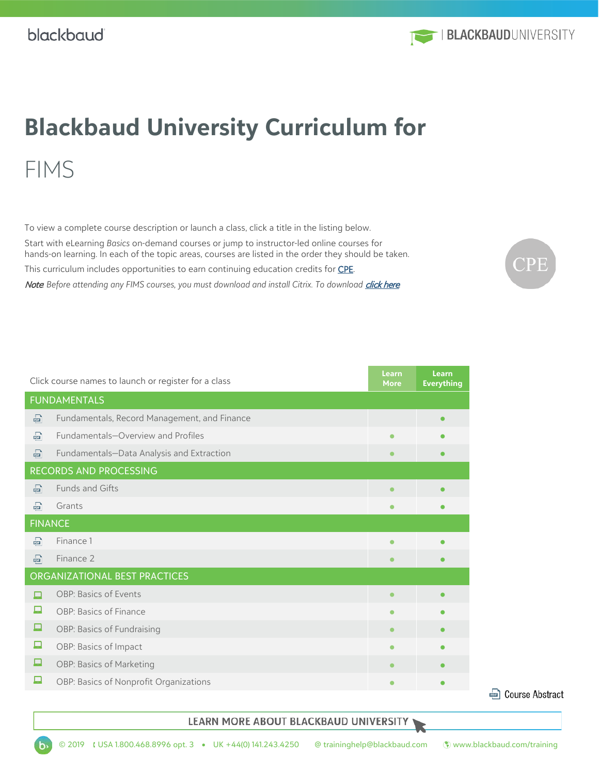

# **Blackbaud University Curriculum for** FIMS

To view a complete course description or launch a class, click a title in the listing below.

Start with eLearning *Basics* on-demand courses or jump to instructor-led online courses for hands-on learning. In each of the topic areas, courses are listed in the order they should be taken.

This curriculum includes opportunities to earn continuing education credits for **CPE**.

Note Before attending any FIMS courses, you must download and install Citrix. To download *[click here](https://www.citrix.com/products/receiver/).* 



| Click course names to launch or register for a class |                                              |           | <b>Learn</b><br><b>Everything</b> |  |  |
|------------------------------------------------------|----------------------------------------------|-----------|-----------------------------------|--|--|
| <b>FUNDAMENTALS</b>                                  |                                              |           |                                   |  |  |
| 霝                                                    | Fundamentals, Record Management, and Finance |           | $\bullet$                         |  |  |
| 霝                                                    | Fundamentals-Overview and Profiles           |           | $\bullet$                         |  |  |
| 霝                                                    | Fundamentals-Data Analysis and Extraction    |           | $\bullet$                         |  |  |
| RECORDS AND PROCESSING                               |                                              |           |                                   |  |  |
| 霝                                                    | Funds and Gifts                              |           | $\bullet$                         |  |  |
| 霝                                                    | Grants                                       |           | $\bullet$                         |  |  |
| <b>FINANCE</b>                                       |                                              |           |                                   |  |  |
| <u>कि</u>                                            | Finance 1                                    |           | $\bullet$                         |  |  |
| 霝                                                    | Finance 2                                    | $\bullet$ | $\bullet$                         |  |  |
| ORGANIZATIONAL BEST PRACTICES                        |                                              |           |                                   |  |  |
| Е                                                    | OBP: Basics of Events                        | $\bullet$ | $\bullet$                         |  |  |
| 戸                                                    | OBP: Basics of Finance                       |           | $\bullet$                         |  |  |
| 戸                                                    | OBP: Basics of Fundraising                   | $\bullet$ | $\bullet$                         |  |  |
| ₽                                                    | OBP: Basics of Impact                        |           | $\bullet$                         |  |  |
| д                                                    | OBP: Basics of Marketing                     |           | $\bullet$                         |  |  |
| 只                                                    | OBP: Basics of Nonprofit Organizations       |           | $\bullet$                         |  |  |

**D** Course Abstract

#### LEARN MORE ABOUT BLACKBAUD UNIVERSITY